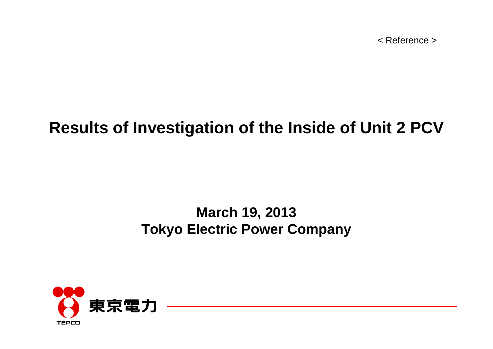< Reference >

### **Results of Investigation of the Inside of Unit 2 PCV**

### **March 19, 2013 Tokyo Electric Power Company**

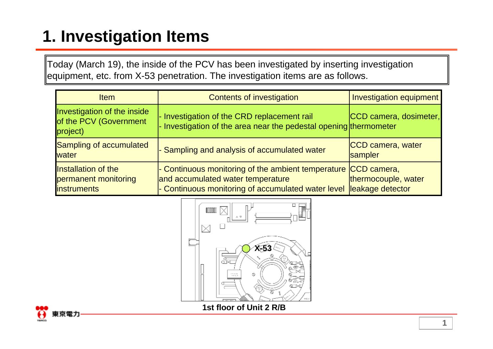# **1. Investigation Items**

Today (March 19), the inside of the PCV has been investigated by inserting investigation equipment, etc. from X-53 penetration. The investigation items are as follows.

| <b>Item</b>                                                        | <b>Contents of investigation</b>                                                                                                                                     | Investigation equipment                 |
|--------------------------------------------------------------------|----------------------------------------------------------------------------------------------------------------------------------------------------------------------|-----------------------------------------|
| Investigation of the inside<br>of the PCV (Government<br>project)  | - Investigation of the CRD replacement rail<br>$\vert$ - Investigation of the area near the pedestal opening thermometer                                             | CCD camera, dosimeter,                  |
| Sampling of accumulated<br>water                                   | - Sampling and analysis of accumulated water                                                                                                                         | CCD camera, water<br>sampler            |
| Installation of the<br>permanent monitoring<br><b>linstruments</b> | $\vdash$ Continuous monitoring of the ambient temperature $ CCD $ camera,<br>and accumulated water temperature<br>- Continuous monitoring of accumulated water level | thermocouple, water<br>leakage detector |



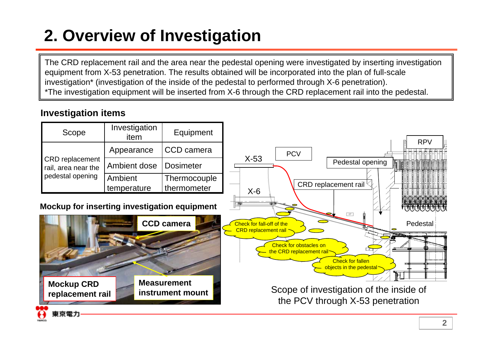## **2. Overview of Investigation**

The CRD replacement rail and the area near the pedestal opening were investigated by inserting investigation equipment from X-53 penetration. The results obtained will be incorporated into the plan of full-scale investigation\* (investigation of the inside of the pedestal to performed through X-6 penetration). \*The investigation equipment will be inserted from X-6 through the CRD replacement rail into the pedestal.

#### **Investigation items**

|                                                                                                                                                                      | Scope                                         | Investigation<br>item  | Equipment                              |                                                                      |  |  |
|----------------------------------------------------------------------------------------------------------------------------------------------------------------------|-----------------------------------------------|------------------------|----------------------------------------|----------------------------------------------------------------------|--|--|
|                                                                                                                                                                      |                                               | Appearance             | CCD camera                             | <b>RPV</b><br><b>PCV</b>                                             |  |  |
|                                                                                                                                                                      | <b>CRD</b> replacement<br>rail, area near the | Ambient dose           | <b>Dosimeter</b>                       | $X-53$<br>Pedestal opening<br><b>TEMPERENT</b>                       |  |  |
|                                                                                                                                                                      | pedestal opening                              | Ambient<br>temperature | Thermocouple<br>thermometer            | CRD replacement rail<br>$X-6$                                        |  |  |
| Mockup for inserting investigation equipment<br><u> 1999 - 1999 - 1999 - 1999 - 1999 - 1999 - 1999 - 1999 - 1999 - 1999 - 1999 - 1999 - 1999 - 1999 - 1999 - 199</u> |                                               |                        |                                        |                                                                      |  |  |
|                                                                                                                                                                      |                                               |                        | <b>CCD camera</b>                      | Check for fall-off of the<br>Pedestal<br><b>CRD</b> replacement rail |  |  |
|                                                                                                                                                                      |                                               |                        |                                        | Check for obstacles on<br>the CRD replacement rail                   |  |  |
|                                                                                                                                                                      |                                               |                        |                                        | <b>Check for fallen</b><br>objects in the pedestal<br>ħŧ             |  |  |
|                                                                                                                                                                      | <b>Mockup CRD</b><br>replacement rail         |                        | <b>Measurement</b><br>instrument mount | Scope of investigation of the inside of                              |  |  |
|                                                                                                                                                                      |                                               |                        |                                        | the PCV through X-53 penetration                                     |  |  |
|                                                                                                                                                                      | 東京電力                                          |                        |                                        |                                                                      |  |  |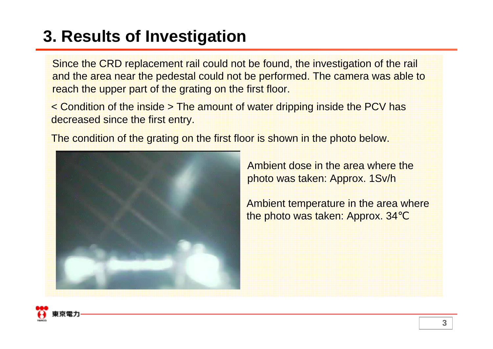## **3. Results of Investigation**

Since the CRD replacement rail could not be found, the investigation of the rail and the area near the pedestal could not be performed. The camera was able to reach the upper part of the grating on the first floor.

< Condition of the inside > The amount of water dripping inside the PCV has decreased since the first entry.

The condition of the grating on the first floor is shown in the photo below.



Ambient dose in the area where the photo was taken: Approx. 1Sv/h

Ambient temperature in the area where the photo was taken: Approx. 34

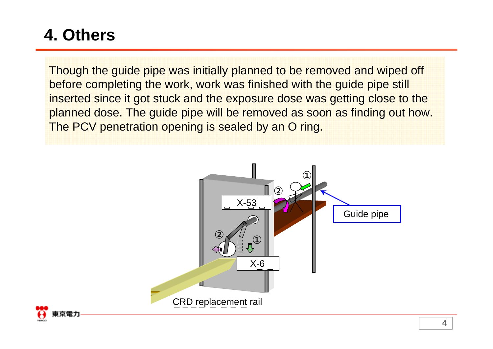## **4. Others**

Though the guide pipe was initially planned to be removed and wiped off before completing the work, work was finished with the guide pipe still inserted since it got stuck and the exposure dose was getting close to the planned dose. The guide pipe will be removed as soon as finding out how. The PCV penetration opening is sealed by an O ring.